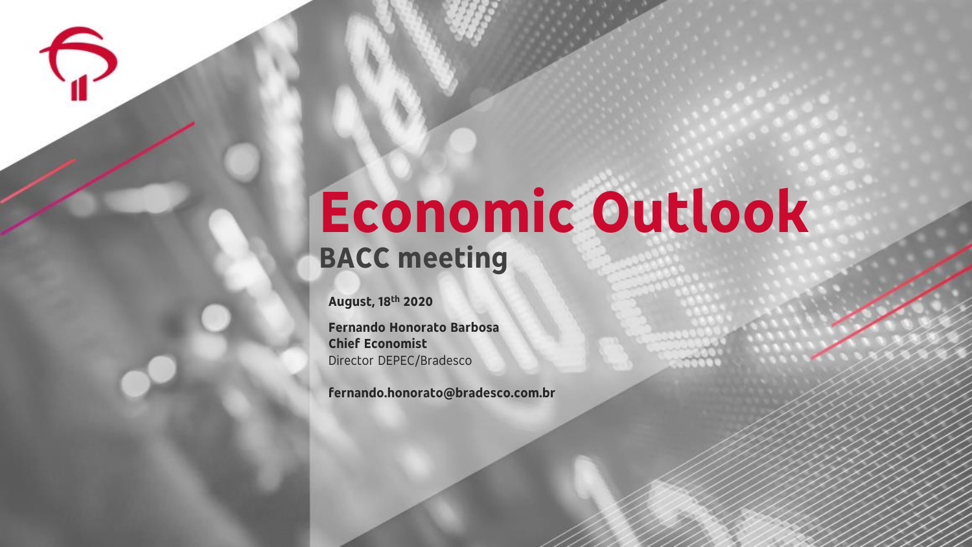## **Economic Outlook BACC meeting**

**August, 18th 2020**

**Fernando Honorato Barbosa Chief Economist** Director DEPEC/Bradesco

**fernando.honorato@bradesco.com.br**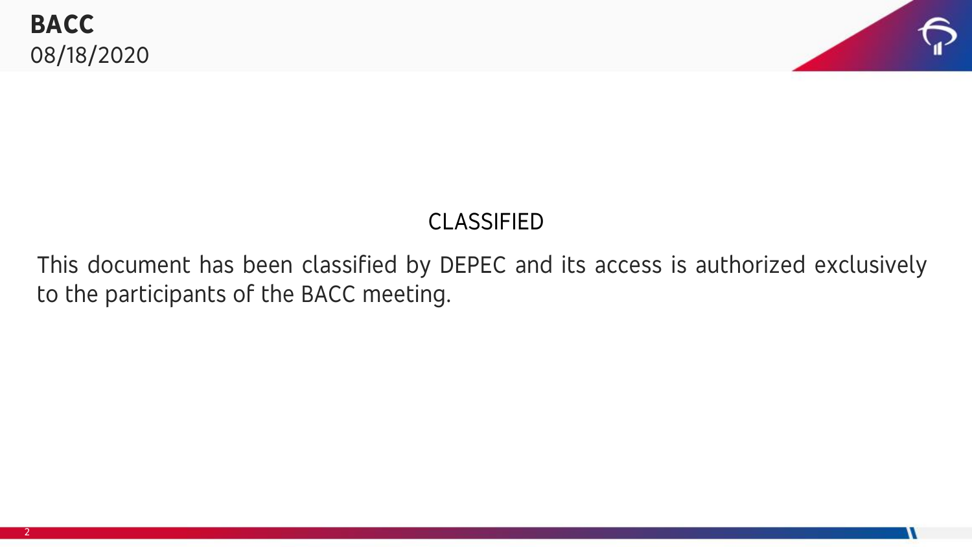

#### CLASSIFIED

This document has been classified by DEPEC and its access is authorized exclusively to the participants of the BACC meeting.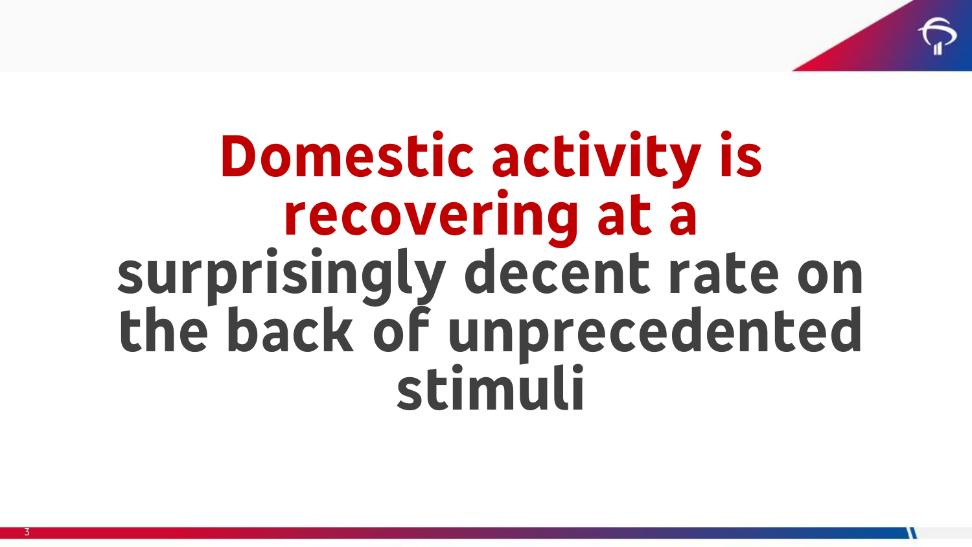

## **Domestic activity is recovering at a surprisingly decent rate on the back of unprecedented stimuli**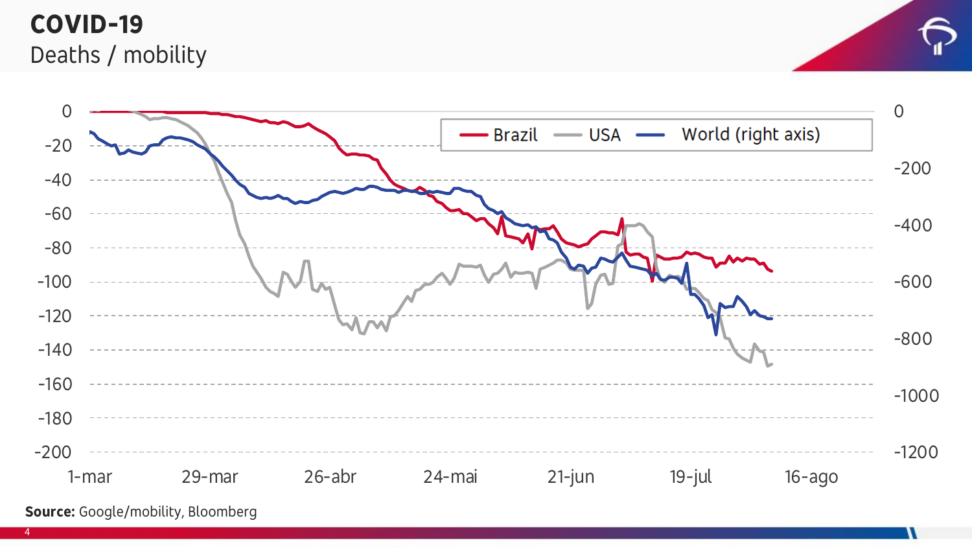#### **COVID-19**  Deaths / mobility



**Source:** Google/mobility, Bloomberg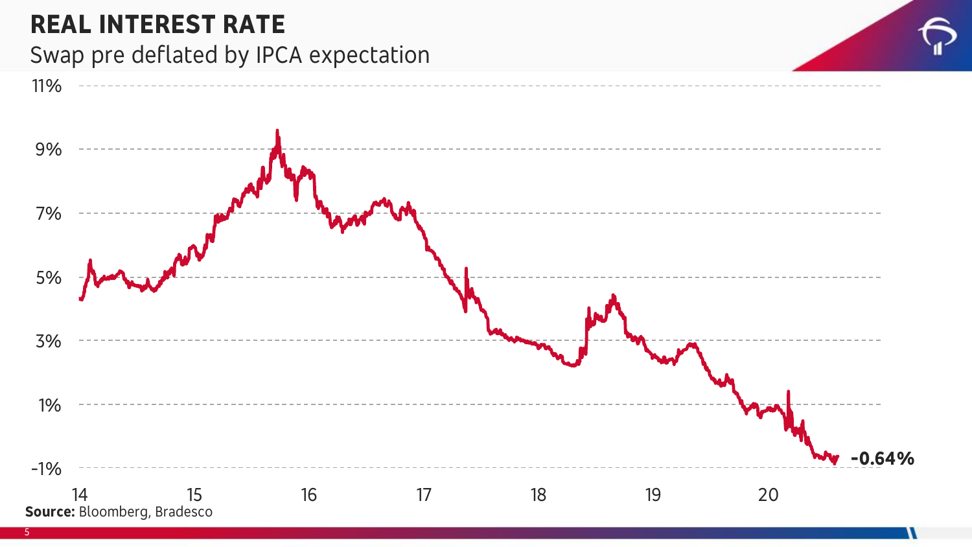#### **REAL INTEREST RATE** Swap pre deflated by IPCA expectation



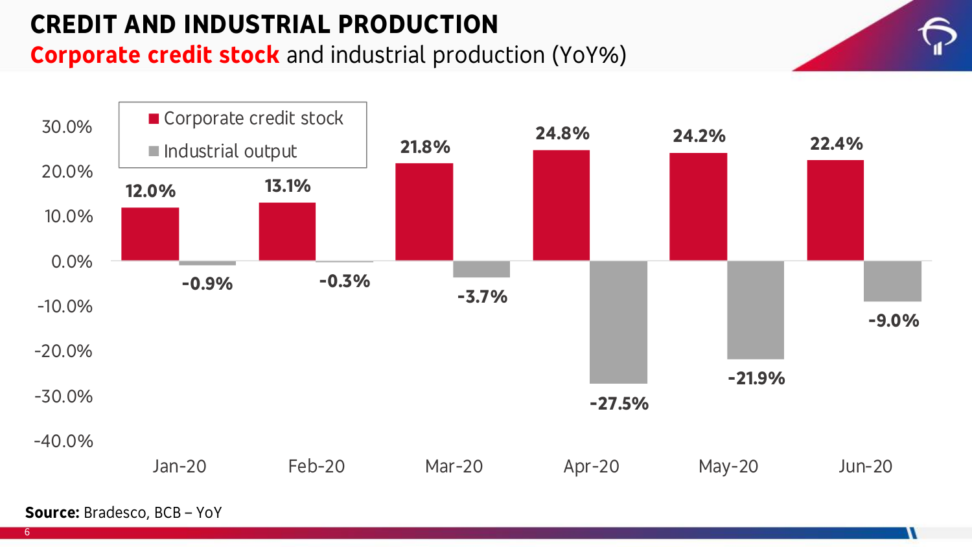#### **CREDIT AND INDUSTRIAL PRODUCTION**

#### **Corporate credit stock** and industrial production (YoY%)



**Source:** Bradesco, BCB – YoY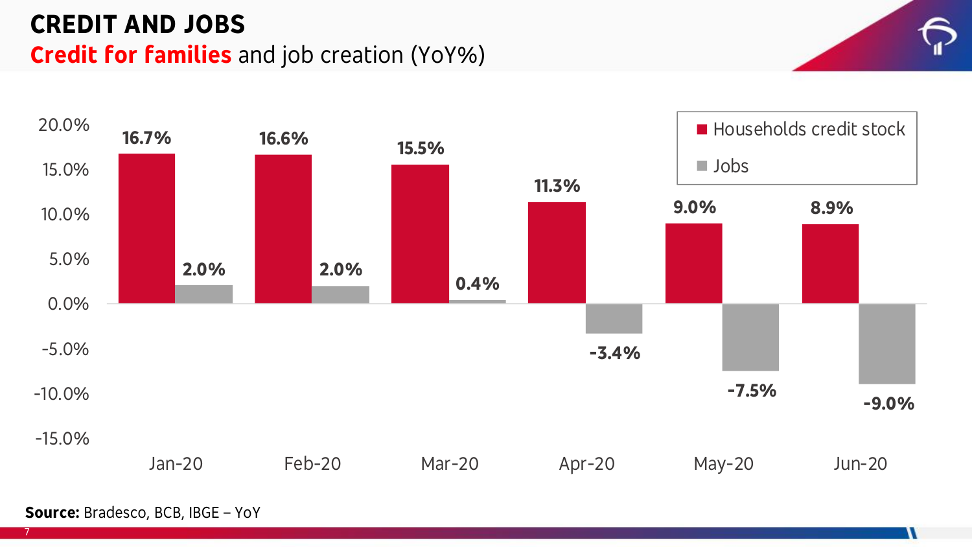#### **CREDIT AND JOBS Credit for families** and job creation (YoY%)



**Source:** Bradesco, BCB, IBGE – YoY

7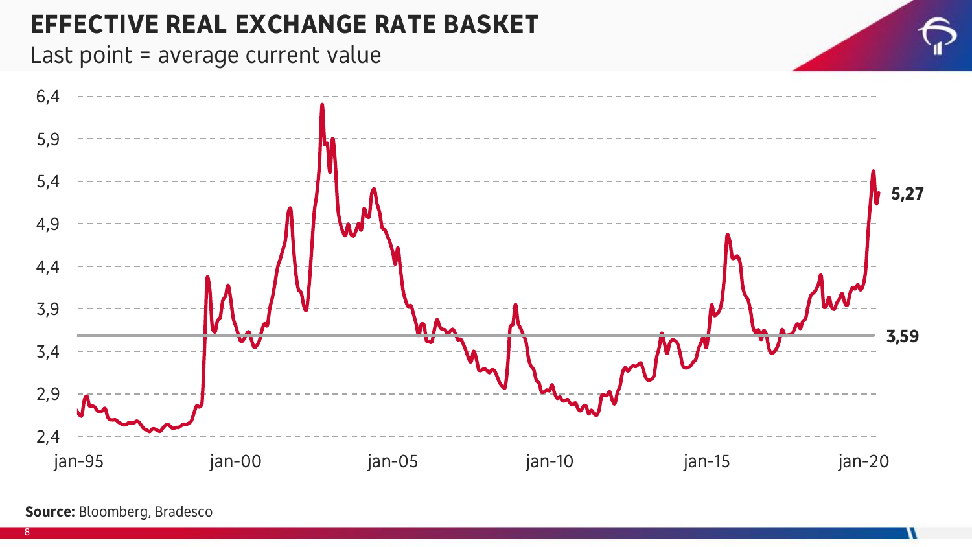#### **EFFECTIVE REAL EXCHANGE RATE BASKET**

Last point = average current value



#### **Source:** Bloomberg, Bradesco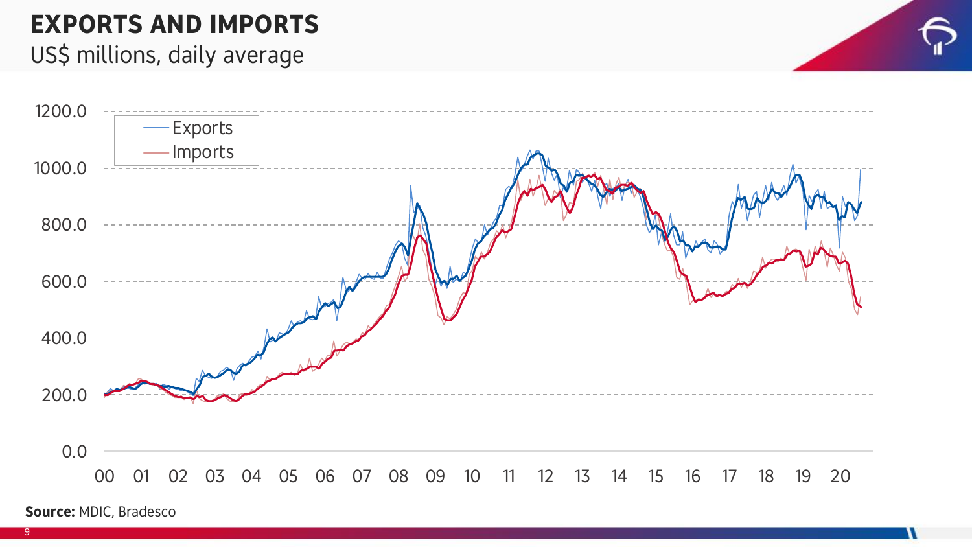### **EXPORTS AND IMPORTS**

#### US\$ millions, daily average



**Source:** MDIC, Bradesco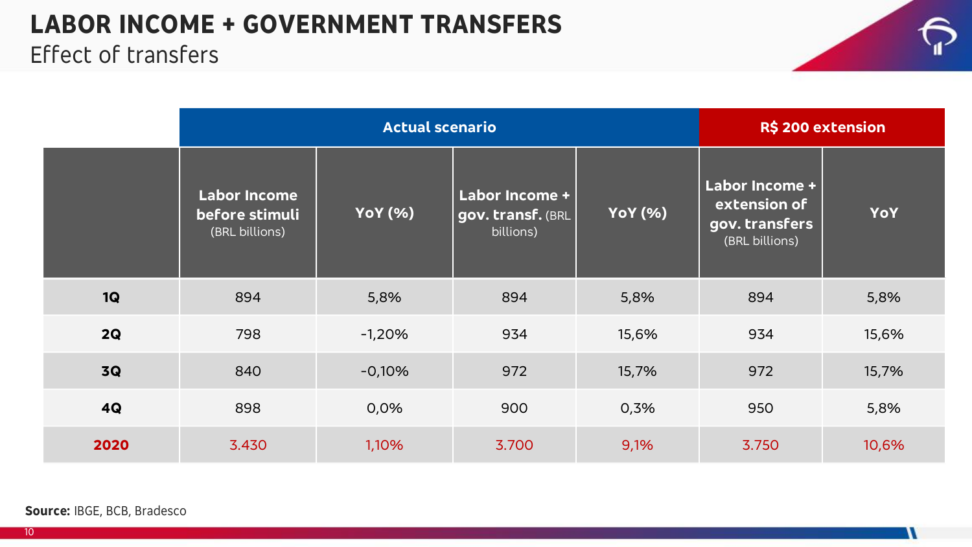## **LABOR INCOME + GOVERNMENT TRANSFERS**



#### Effect of transfers

|           |                                                         | <b>Actual scenario</b> | R\$ 200 extension                                       |                |                                                                           |       |
|-----------|---------------------------------------------------------|------------------------|---------------------------------------------------------|----------------|---------------------------------------------------------------------------|-------|
|           | <b>Labor Income</b><br>before stimuli<br>(BRL billions) | <b>YoY</b> (%)         | <b>Labor Income +</b><br>gov. transf. (BRL<br>billions) | <b>YoY</b> (%) | <b>Labor Income +</b><br>extension of<br>gov. transfers<br>(BRL billions) | YoY   |
| 1Q        | 894                                                     | 5,8%                   | 894                                                     | 5,8%           | 894                                                                       | 5,8%  |
| 2Q        | 798                                                     | $-1,20%$               | 934                                                     | 15,6%          | 934                                                                       | 15,6% |
| <b>3Q</b> | 840                                                     | $-0,10%$               | 972                                                     | 15,7%          | 972                                                                       | 15,7% |
| 4Q        | 898                                                     | 0,0%                   | 900                                                     | 0,3%           | 950                                                                       | 5,8%  |
| 2020      | 3.430                                                   | 1,10%                  | 3.700                                                   | 9,1%           | 3.750                                                                     | 10,6% |

**Source:** IBGE, BCB, Bradesco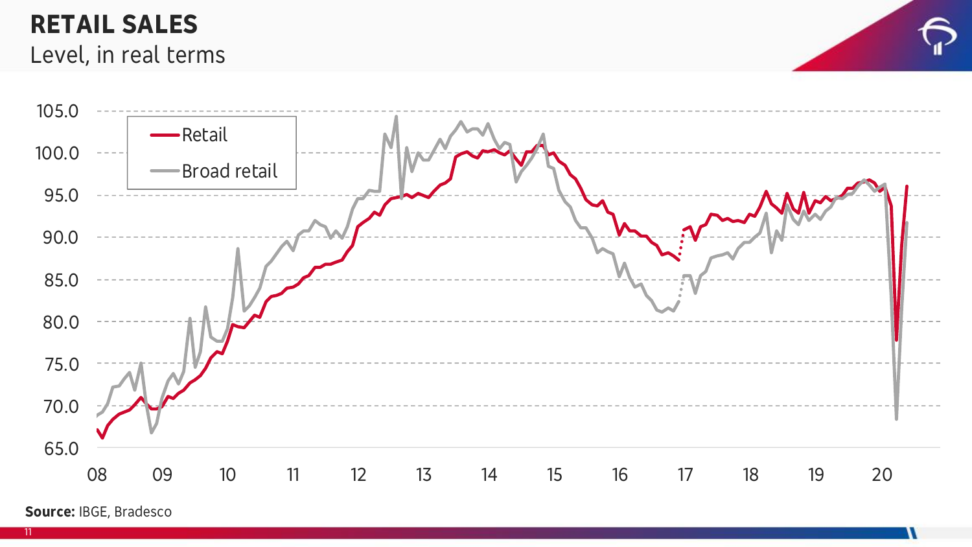#### **RETAIL SALES** Level, in real terms





**Source:** IBGE, Bradesco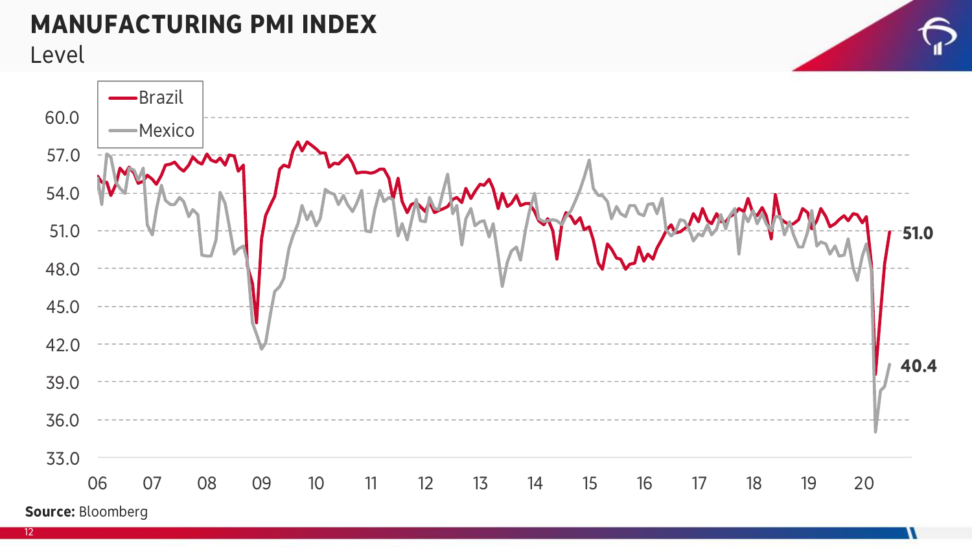#### **MANUFACTURING PMI INDEX**

Level

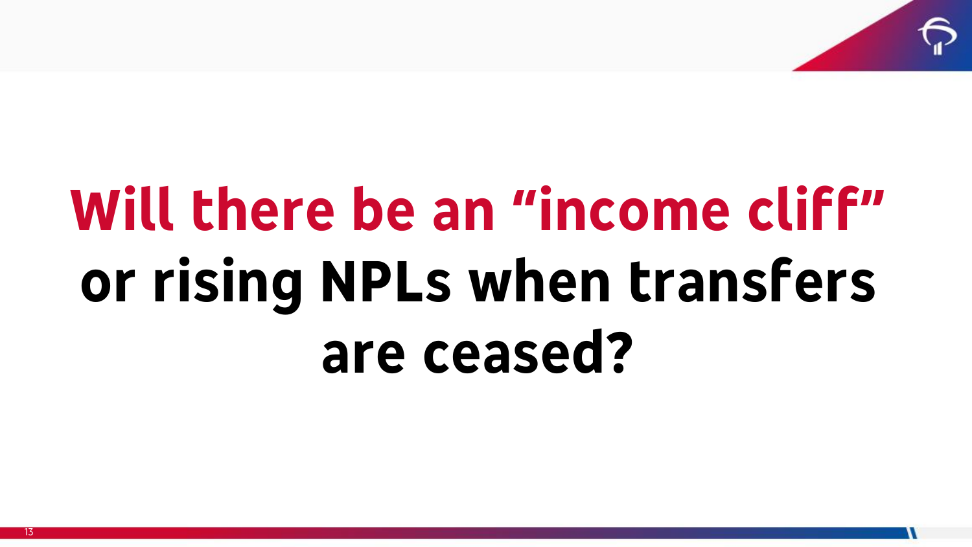

# **Will there be an "income cliff" or rising NPLs when transfers are ceased?**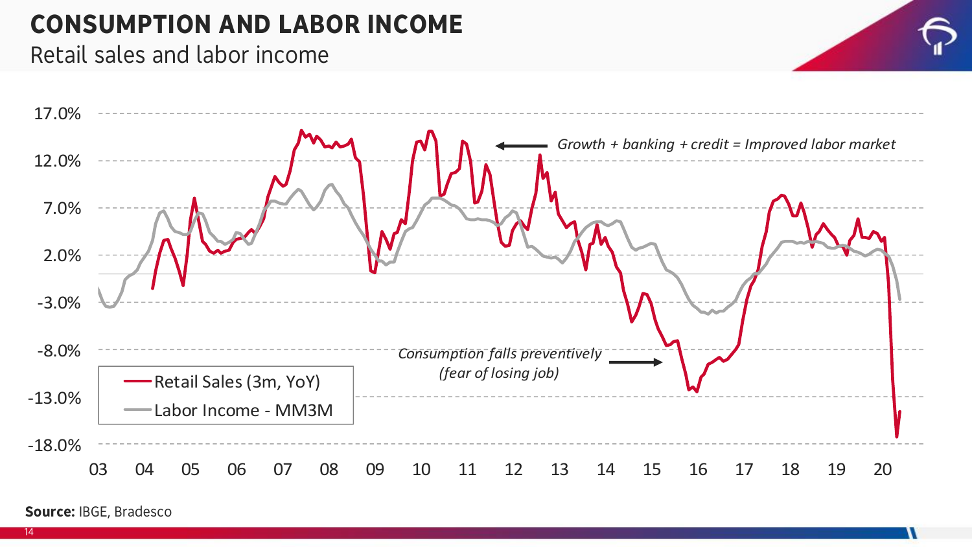#### **CONSUMPTION AND LABOR INCOME**  $\bullet$

#### Retail sales and labor income



**Source:** IBGE, Bradesco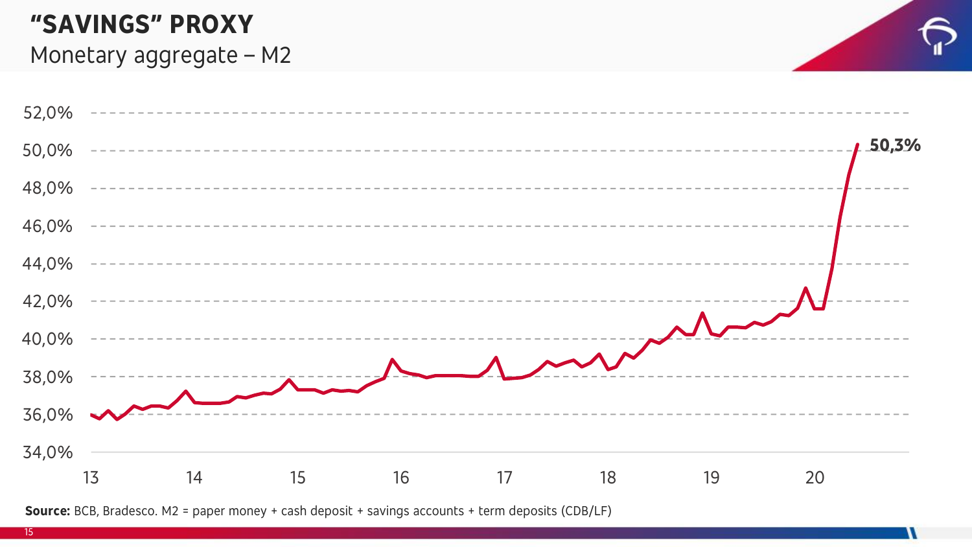#### $\mathcal{L}$ gados monetários: saldo de M2 como proporção do PIB acumulado do PIB acumulado do PIB acumulado do PIB acumulado do PIB acumulado do PIB acumulado do PIB acumulado do PIB acumulado do PIB acumulado do PIB acumulad **"SAVINGS" PROXY**

#### Monetary aggregate – M2



**Source:** BCB, Bradesco. M2 = paper money + cash deposit + savings accounts + term deposits (CDB/LF)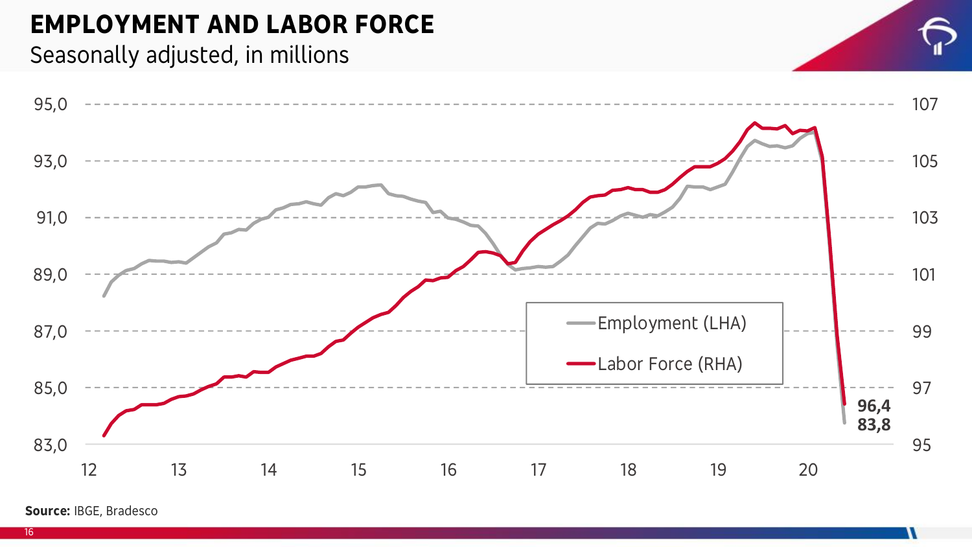#### **EMPLOYMENT AND LABOR FORCE**

#### Seasonally adjusted, in millions



**Source:** IBGE, Bradesco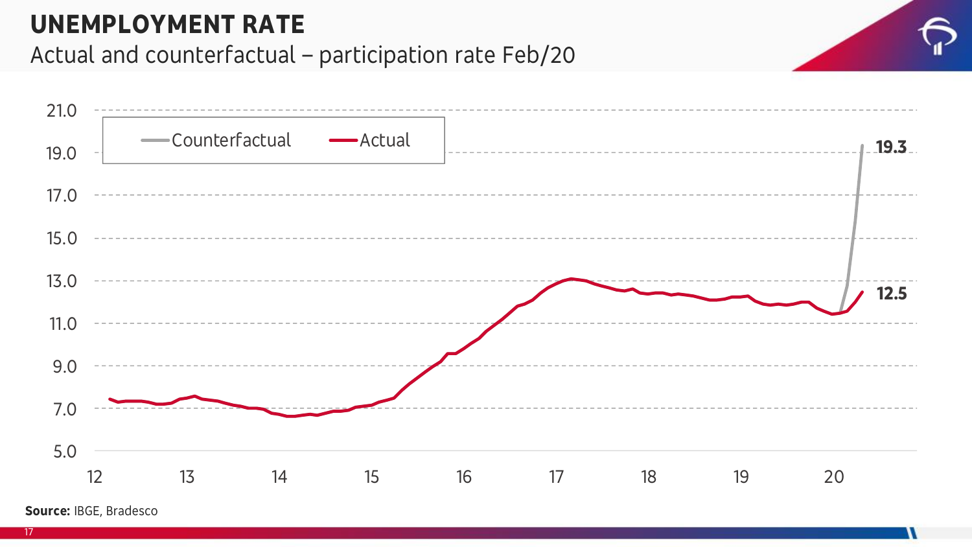#### **UNEMPLOYMENT RATE**

#### Actual and counterfactual – participation rate Feb/20



**Source:** IBGE, Bradesco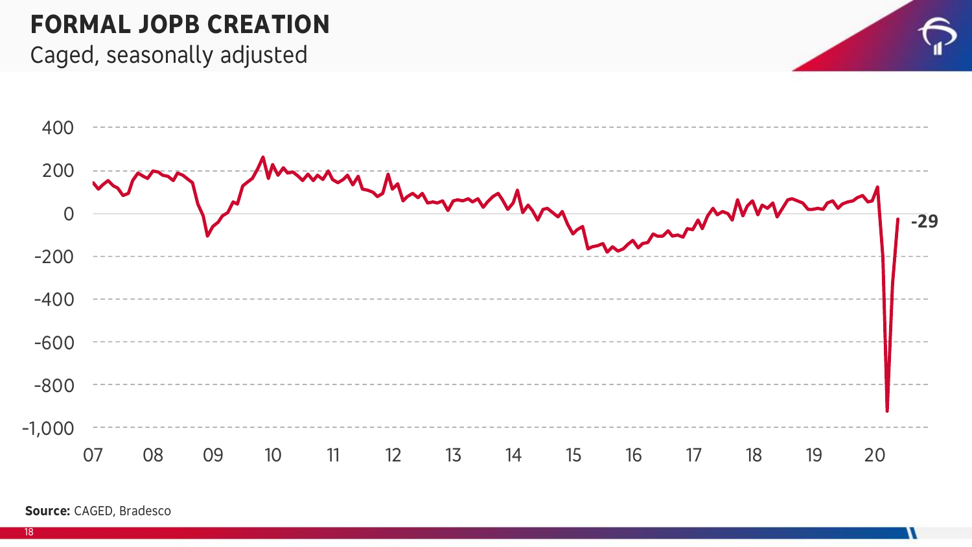#### **FORMAL JOPB CREATION**

#### Caged, seasonally adjusted





**Source:** CAGED, Bradesco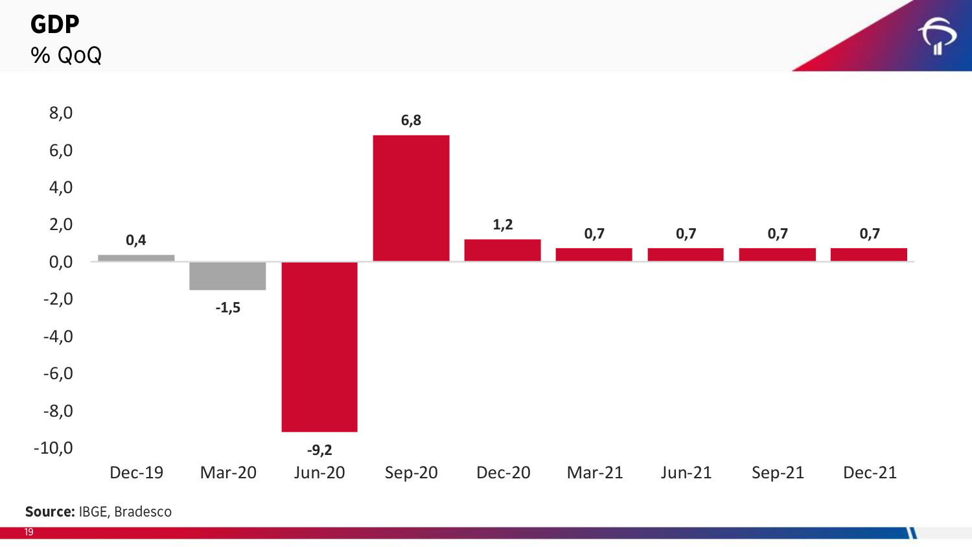**GDP** % QoQ





**Source:** IBGE, Bradesco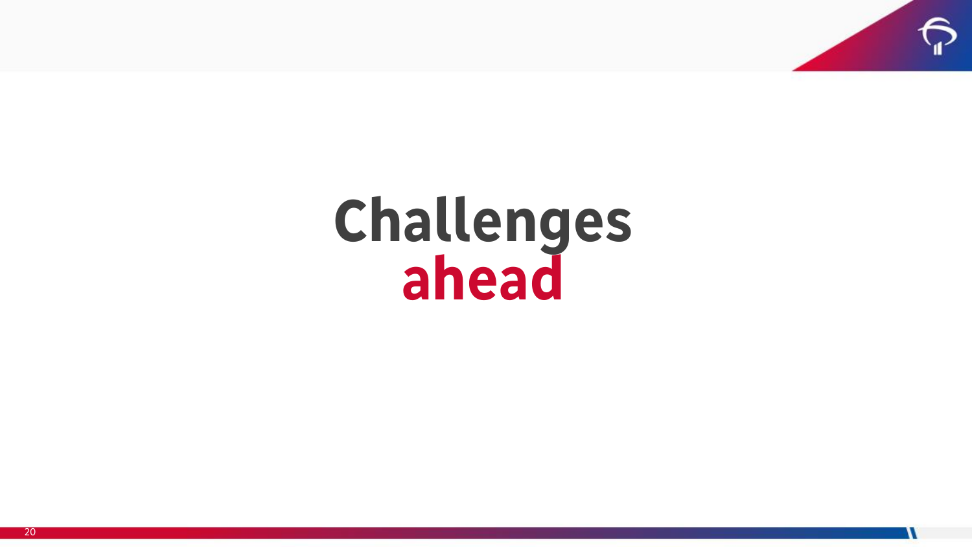

## **Challenges ahead**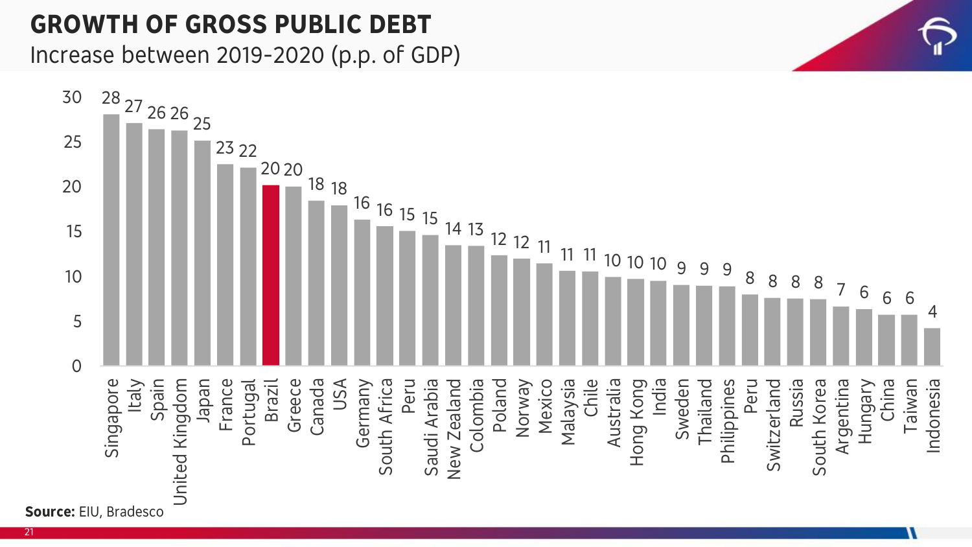#### **GROWTH OF GROSS PUBLIC DEBT**

Increase between 2019-2020 (p.p. of GDP)

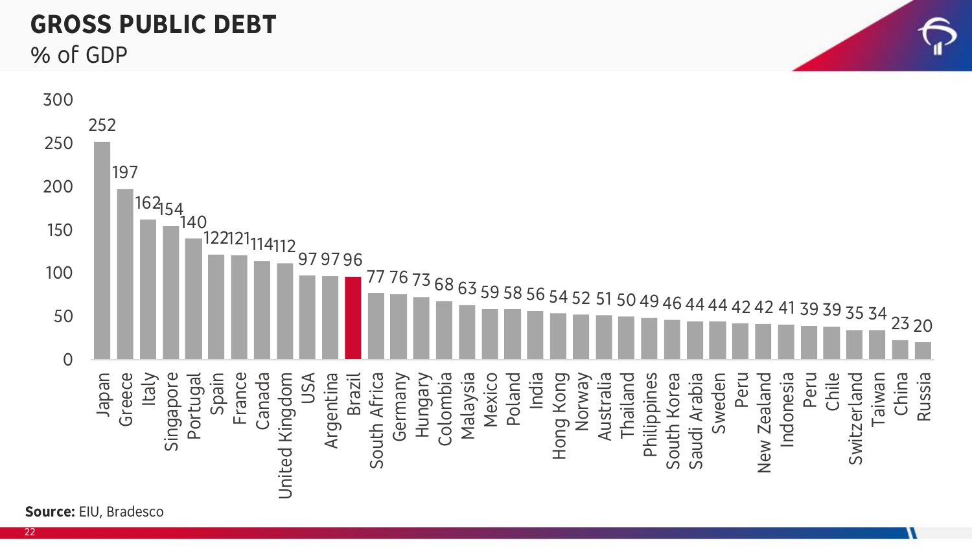#### **GROSS PUBLIC DEBT**

% of GDP

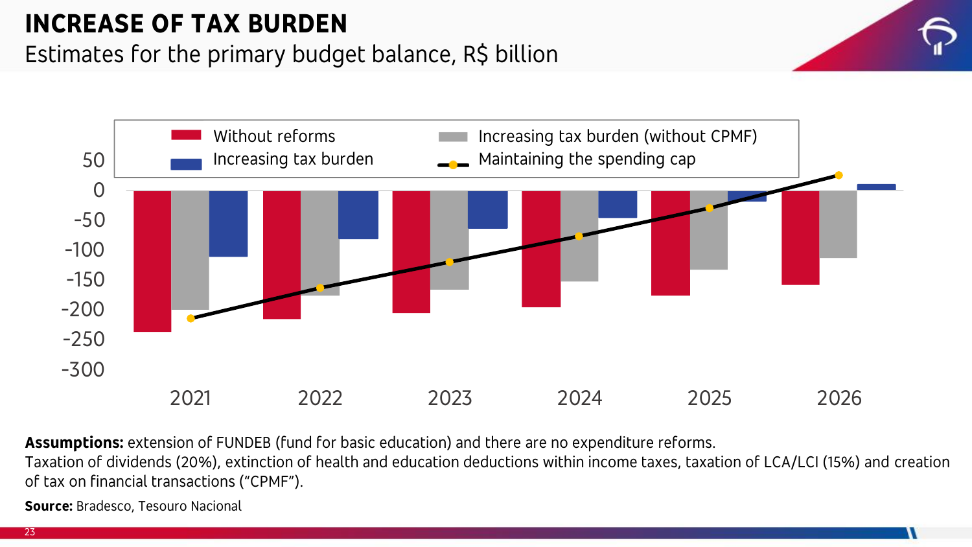### **INCREASE OF TAX BURDEN**

#### Estimates for the primary budget balance, R\$ billion



**Assumptions:** extension of FUNDEB (fund for basic education) and there are no expenditure reforms.

Taxation of dividends (20%), extinction of health and education deductions within income taxes, taxation of LCA/LCI (15%) and creation of tax on financial transactions ("CPMF").

**Source:** Bradesco, Tesouro Nacional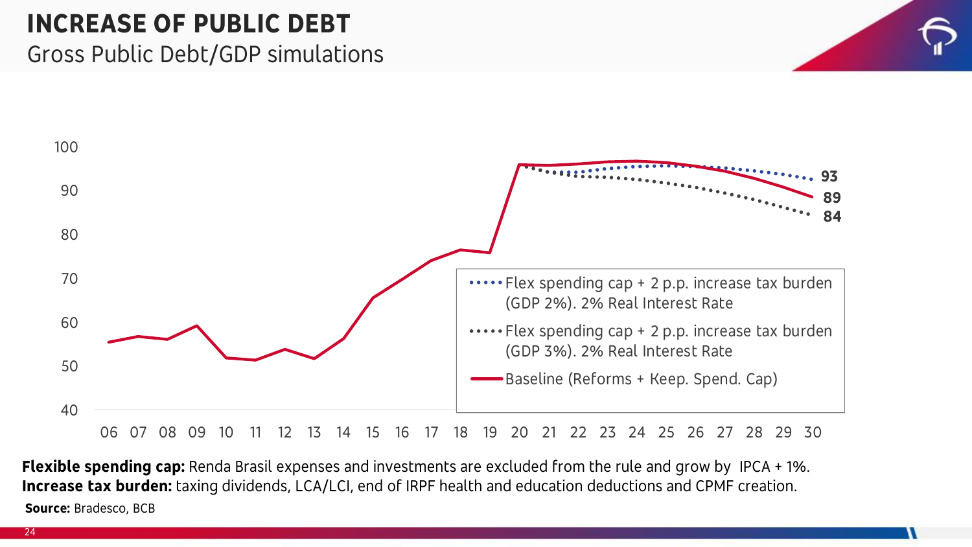#### **INCREASE OF PUBLIC DEBT** Gross Public Debt/GDP simulations





**Source:** Bradesco, BCB **Flexible spending cap:** Renda Brasil expenses and investments are excluded from the rule and grow by IPCA + 1%. **Increase tax burden:** taxing dividends, LCA/LCI, end of IRPF health and education deductions and CPMF creation.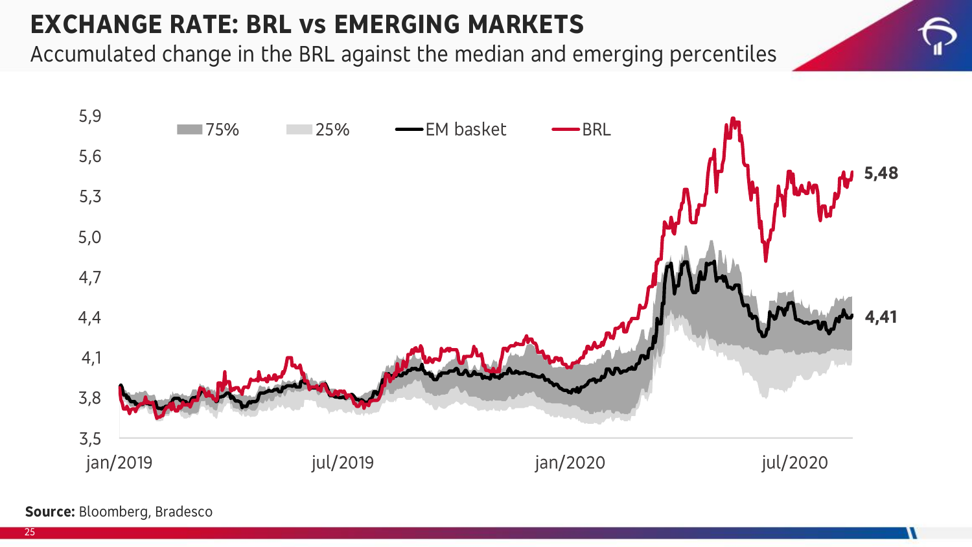#### **EXCHANGE RATE: BRL vs EMERGING MARKETS**

Accumulated change in the BRL against the median and emerging percentiles



**Source:** Bloomberg, Bradesco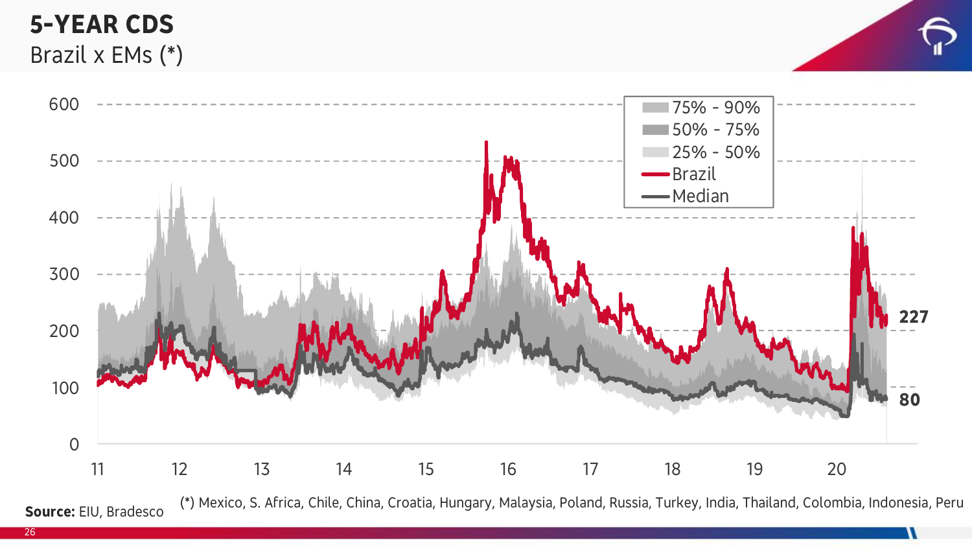#### **5-YEAR CDS** Brazil x EMs (\*)



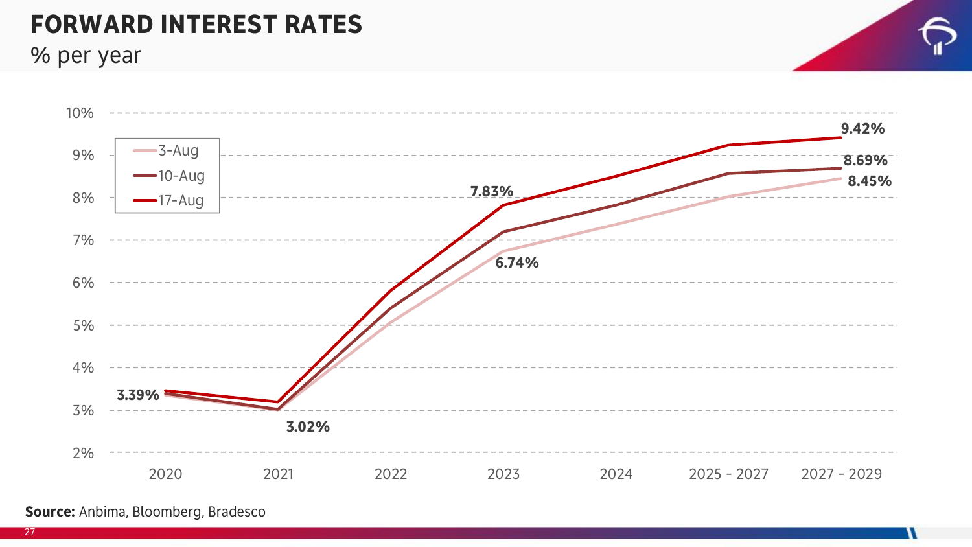#### **FORWARD INTEREST RATES**

% per year



**Source:** Anbima, Bloomberg, Bradesco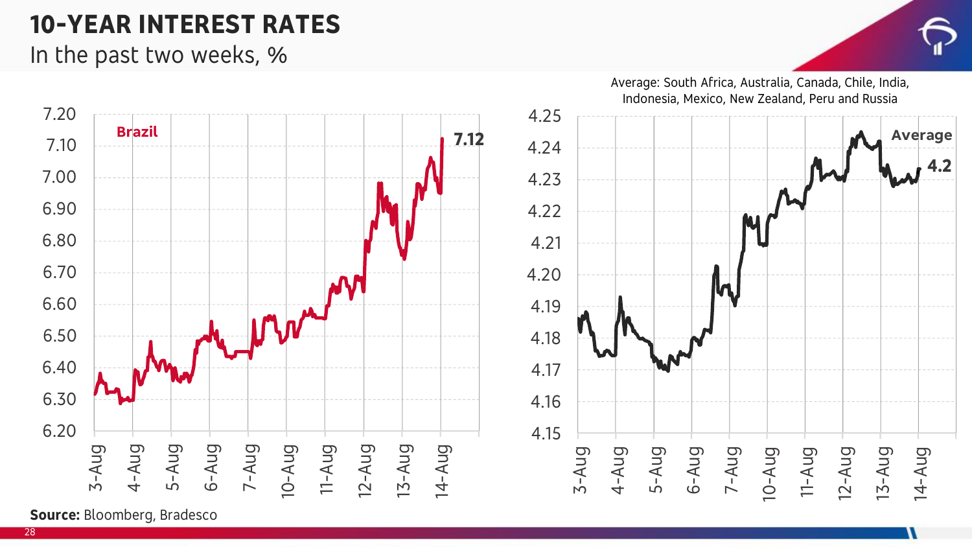#### **10-YEAR INTEREST RATES**

In the past two weeks, %





**Source:** Bloomberg, Bradesco